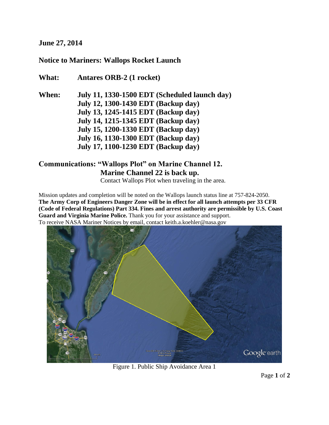#### **June 27, 2014**

### **Notice to Mariners: Wallops Rocket Launch**

**What: Antares ORB-2 (1 rocket) When: July 11, 1330-1500 EDT (Scheduled launch day) July 12, 1300-1430 EDT (Backup day) July 13, 1245-1415 EDT (Backup day) July 14, 1215-1345 EDT (Backup day) July 15, 1200-1330 EDT (Backup day) July 16, 1130-1300 EDT (Backup day) July 17, 1100-1230 EDT (Backup day)**

## **Communications: "Wallops Plot" on Marine Channel 12. Marine Channel 22 is back up.**

Contact Wallops Plot when traveling in the area.

Mission updates and completion will be noted on the Wallops launch status line at 757-824-2050. **The Army Corp of Engineers Danger Zone will be in effect for all launch attempts per 33 CFR (Code of Federal Regulations) Part 334. Fines and arrest authority are permissible by U.S. Coast Guard and Virginia Marine Police.** Thank you for your assistance and support. To receive NASA Mariner Notices by email, contact keith.a.koehler@nasa.gov



Figure 1. Public Ship Avoidance Area 1